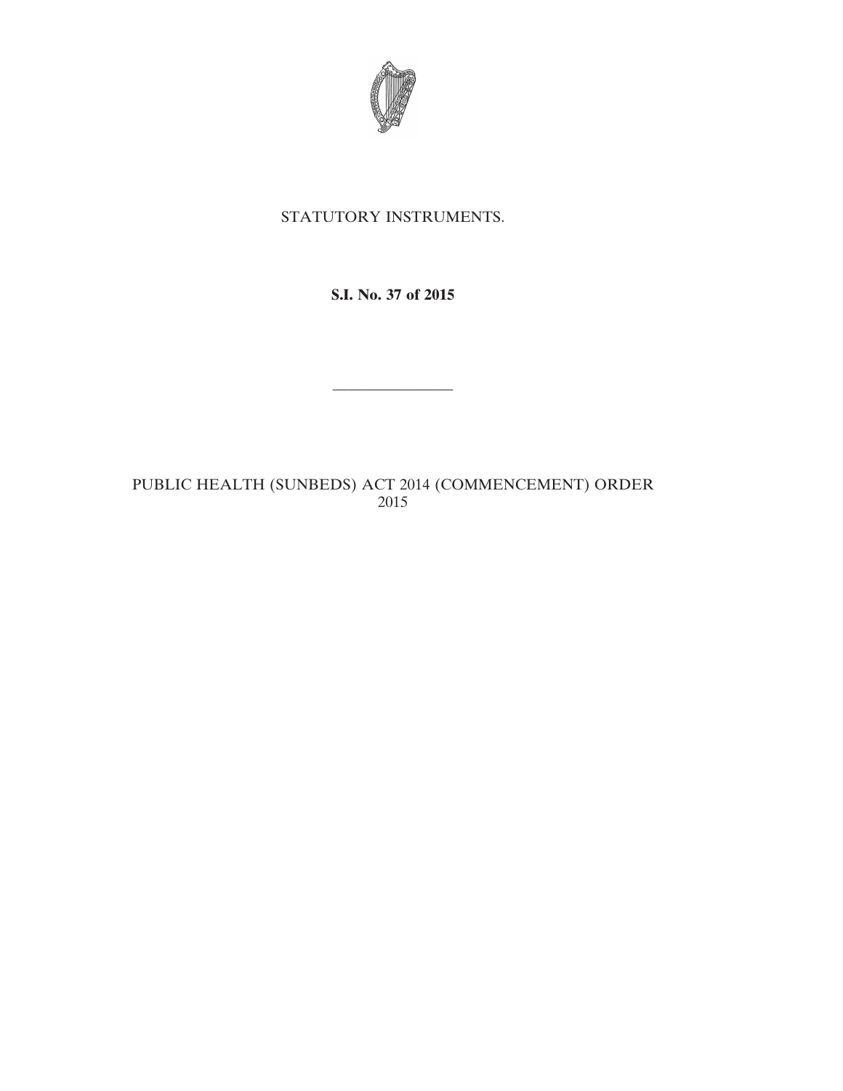

## STATUTORY INSTRUMENTS.

**S.I. No. 37 of 2015**

————————

## PUBLIC HEALTH (SUNBEDS) ACT 2014 (COMMENCEMENT) ORDER 2015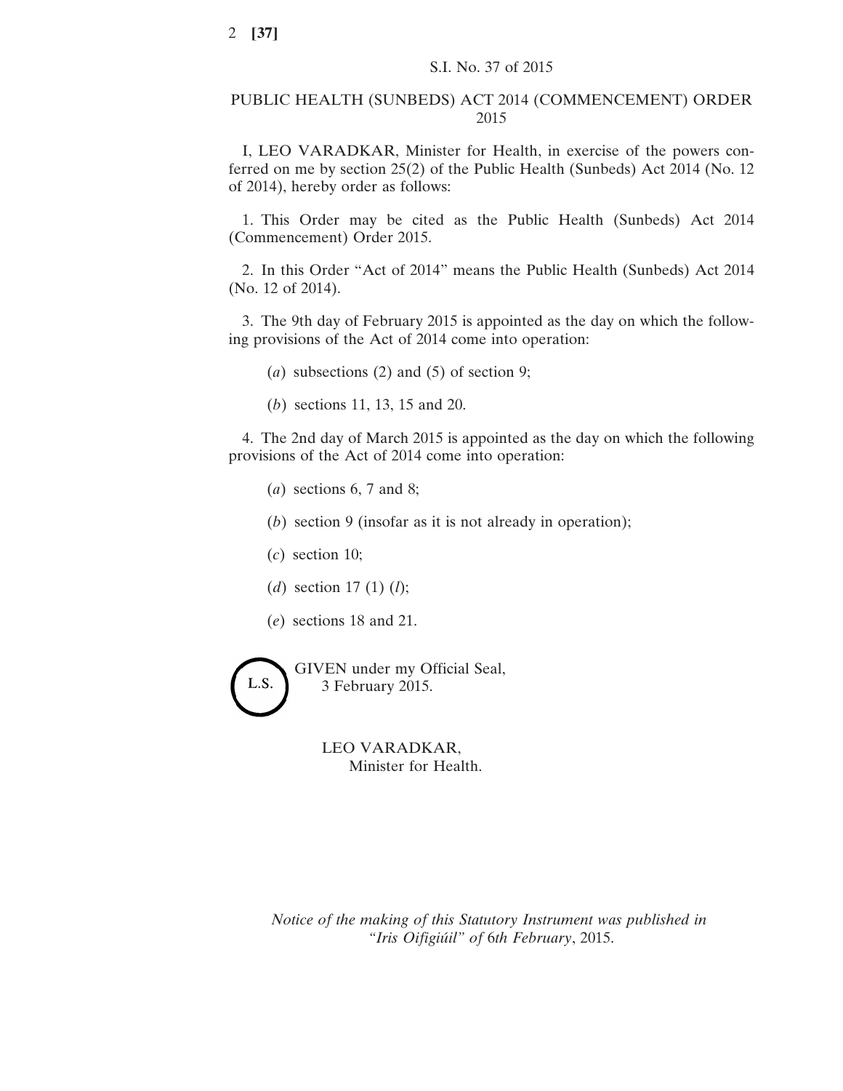## PUBLIC HEALTH (SUNBEDS) ACT 2014 (COMMENCEMENT) ORDER 2015

I, LEO VARADKAR, Minister for Health, in exercise of the powers conferred on me by section 25(2) of the Public Health (Sunbeds) Act 2014 (No. 12 of 2014), hereby order as follows:

1. This Order may be cited as the Public Health (Sunbeds) Act 2014 (Commencement) Order 2015.

2. In this Order "Act of 2014" means the Public Health (Sunbeds) Act 2014 (No. 12 of 2014).

3. The 9th day of February 2015 is appointed as the day on which the following provisions of the Act of 2014 come into operation:

- (*a*) subsections (2) and (5) of section 9;
- (*b*) sections 11, 13, 15 and 20.

4. The 2nd day of March 2015 is appointed as the day on which the following provisions of the Act of 2014 come into operation:

- (*a*) sections 6, 7 and 8;
- (*b*) section 9 (insofar as it is not already in operation);
- (*c*) section 10;
- (*d*) section 17 (1) (*l*);
- (*e*) sections 18 and 21.

GIVEN under my Official Seal, L.S. 3 February 2015.

> LEO VARADKAR, Minister for Health.

*Notice of the making of this Statutory Instrument was published in "Iris Oifigiúil" of* 6*th February*, 2015.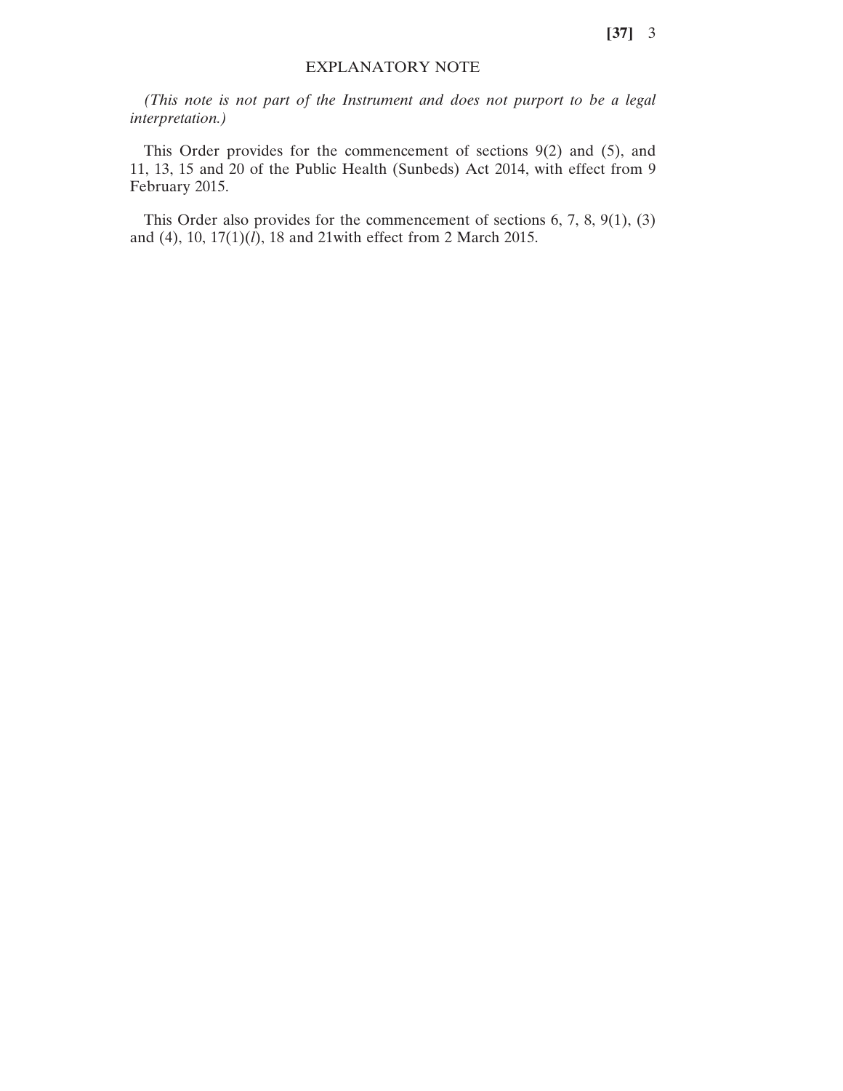## EXPLANATORY NOTE

*(This note is not part of the Instrument and does not purport to be a legal interpretation.)*

This Order provides for the commencement of sections 9(2) and (5), and 11, 13, 15 and 20 of the Public Health (Sunbeds) Act 2014, with effect from 9 February 2015.

This Order also provides for the commencement of sections 6, 7, 8, 9(1), (3) and (4), 10, 17(1)(*l*), 18 and 21with effect from 2 March 2015.